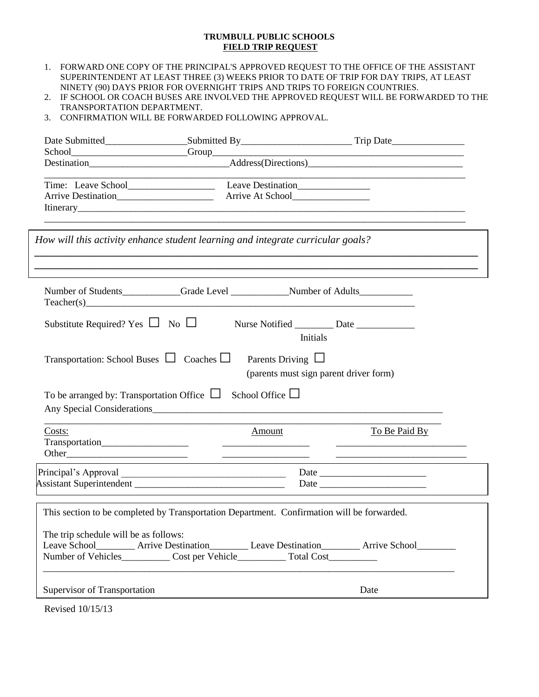#### **TRUMBULL PUBLIC SCHOOLS FIELD TRIP REQUEST**

- 1. FORWARD ONE COPY OF THE PRINCIPAL'S APPROVED REQUEST TO THE OFFICE OF THE ASSISTANT SUPERINTENDENT AT LEAST THREE (3) WEEKS PRIOR TO DATE OF TRIP FOR DAY TRIPS, AT LEAST NINETY (90) DAYS PRIOR FOR OVERNIGHT TRIPS AND TRIPS TO FOREIGN COUNTRIES.
- 2. IF SCHOOL OR COACH BUSES ARE INVOLVED THE APPROVED REQUEST WILL BE FORWARDED TO THE TRANSPORTATION DEPARTMENT.
- 3. CONFIRMATION WILL BE FORWARDED FOLLOWING APPROVAL.

|                                                 |                                                                                                                                                                                                                               | Date Submitted_________________________Submitted By______________________________Trip Date____________________ |
|-------------------------------------------------|-------------------------------------------------------------------------------------------------------------------------------------------------------------------------------------------------------------------------------|----------------------------------------------------------------------------------------------------------------|
|                                                 |                                                                                                                                                                                                                               |                                                                                                                |
|                                                 |                                                                                                                                                                                                                               |                                                                                                                |
|                                                 | How will this activity enhance student learning and integrate curricular goals?                                                                                                                                               |                                                                                                                |
|                                                 | Number of Students____________Grade Level ________________Number of Adults_________________________<br>$Teacher(s)$                                                                                                           | ,我们也不能在这里的时候,我们也不能在这里的时候,我们也不能不能不能不能不能不能不能不能不能不能不能不能不能。""我们,我们也不能不能不能不能不能不能不能不能不                               |
| Substitute Required? Yes $\Box$ No $\Box$       |                                                                                                                                                                                                                               | <b>Initials</b>                                                                                                |
|                                                 |                                                                                                                                                                                                                               |                                                                                                                |
| To be arranged by: Transportation Office $\Box$ | Transportation: School Buses $\Box$ Coaches $\Box$ Parents Driving $\Box$<br>School Office $\Box$                                                                                                                             | (parents must sign parent driver form)                                                                         |
|                                                 | Any Special Considerations experience and the constant of the constant of the constant of the constant of the constant of the constant of the constant of the constant of the constant of the constant of the constant of the |                                                                                                                |
| Costs:                                          | Amount                                                                                                                                                                                                                        | To Be Paid By                                                                                                  |
|                                                 |                                                                                                                                                                                                                               |                                                                                                                |
| The trip schedule will be as follows:           | This section to be completed by Transportation Department. Confirmation will be forwarded.<br>Number of Vehicles____________ Cost per Vehicle____________ Total Cost__________                                                | Leave School__________ Arrive Destination__________ Leave Destination_________ Arrive School________           |

Revised 10/15/13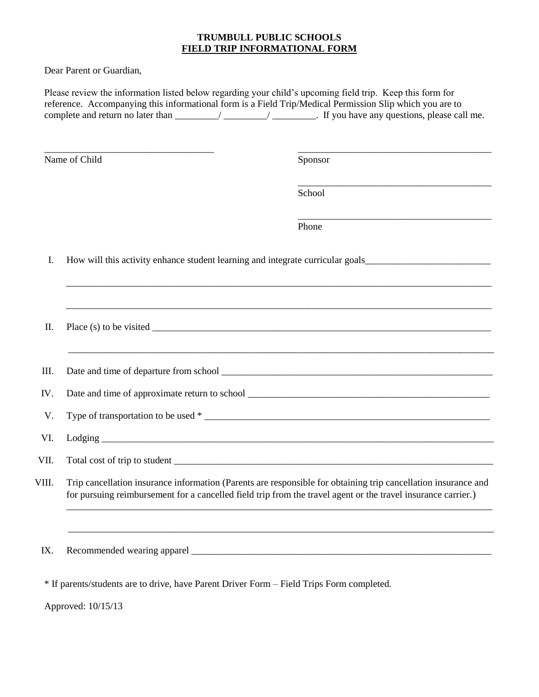### **TRUMBULL PUBLIC SCHOOLS FIELD TRIP INFORMATIONAL FORM**

Dear Parent or Guardian,

|       |                                                                                           | Please review the information listed below regarding your child's upcoming field trip. Keep this form for<br>reference. Accompanying this informational form is a Field Trip/Medical Permission Slip which you are to           |
|-------|-------------------------------------------------------------------------------------------|---------------------------------------------------------------------------------------------------------------------------------------------------------------------------------------------------------------------------------|
|       | Name of Child                                                                             | Sponsor                                                                                                                                                                                                                         |
|       |                                                                                           | <u> 1989 - Johann Barn, mars ann an t-Amhain ann an t-Amhain ann an t-Amhain ann an t-Amhain an t-Amhain ann an t-</u><br>School                                                                                                |
|       |                                                                                           | Phone                                                                                                                                                                                                                           |
| I.    |                                                                                           |                                                                                                                                                                                                                                 |
| Π.    |                                                                                           |                                                                                                                                                                                                                                 |
| III.  |                                                                                           | <u> 1980 - Johann Barn, mars an t-Amerikaansk politiker (* 1980)</u>                                                                                                                                                            |
| IV.   |                                                                                           |                                                                                                                                                                                                                                 |
| V.    |                                                                                           |                                                                                                                                                                                                                                 |
| VI.   |                                                                                           |                                                                                                                                                                                                                                 |
| VII.  |                                                                                           |                                                                                                                                                                                                                                 |
| VIII. |                                                                                           | Trip cancellation insurance information (Parents are responsible for obtaining trip cancellation insurance and<br>for pursuing reimbursement for a cancelled field trip from the travel agent or the travel insurance carrier.) |
|       |                                                                                           |                                                                                                                                                                                                                                 |
| IX.   |                                                                                           |                                                                                                                                                                                                                                 |
|       | * If parents/students are to drive, have Parent Driver Form – Field Trips Form completed. |                                                                                                                                                                                                                                 |

Approved: 10/15/13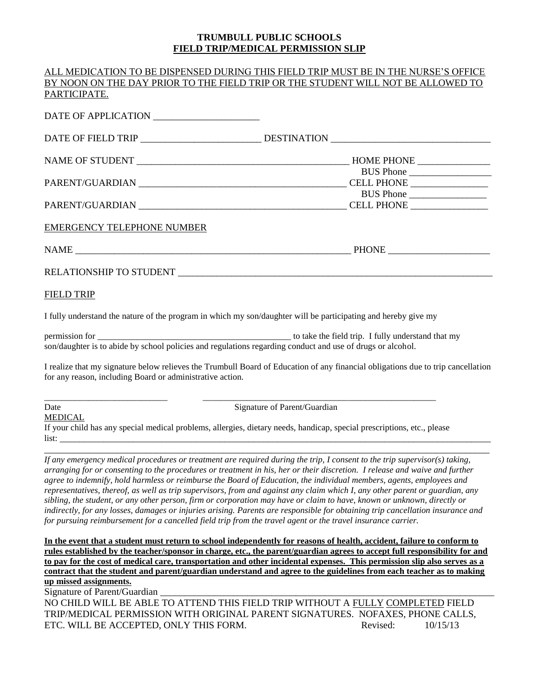### **TRUMBULL PUBLIC SCHOOLS FIELD TRIP/MEDICAL PERMISSION SLIP**

ALL MEDICATION TO BE DISPENSED DURING THIS FIELD TRIP MUST BE IN THE NURSE'S OFFICE

|                                                             | ALLE MEDICATION TO DE DISI ENSED DONING THIS FIELD TINI MOST DE IN THE NONSE S OFFICE<br>BY NOON ON THE DAY PRIOR TO THE FIELD TRIP OR THE STUDENT WILL NOT BE ALLOWED TO |
|-------------------------------------------------------------|---------------------------------------------------------------------------------------------------------------------------------------------------------------------------|
| PARTICIPATE.                                                |                                                                                                                                                                           |
|                                                             |                                                                                                                                                                           |
|                                                             |                                                                                                                                                                           |
|                                                             |                                                                                                                                                                           |
|                                                             |                                                                                                                                                                           |
|                                                             | BUS Phone<br>PARENT/GUARDIAN CELL PHONE CELL PHONE                                                                                                                        |
| <b>EMERGENCY TELEPHONE NUMBER</b>                           |                                                                                                                                                                           |
|                                                             | NAME PHONE                                                                                                                                                                |
| RELATIONSHIP TO STUDENT LEADERS AND RELATIONSHIP TO STUDENT |                                                                                                                                                                           |
| <b>FIELD TRIP</b>                                           |                                                                                                                                                                           |

I fully understand the nature of the program in which my son/daughter will be participating and hereby give my

permission for the state of the state of the field trip. I fully understand that my son/daughter is to abide by school policies and regulations regarding conduct and use of drugs or alcohol.

I realize that my signature below relieves the Trumbull Board of Education of any financial obligations due to trip cancellation for any reason, including Board or administrative action.

MEDICAL

Date Signature of Parent/Guardian

If your child has any special medical problems, allergies, dietary needs, handicap, special prescriptions, etc., please list: \_\_\_\_\_\_\_\_\_\_\_\_\_\_\_\_\_\_\_\_\_\_\_\_\_\_\_\_\_\_\_\_\_\_\_\_\_\_\_\_\_\_\_\_\_\_\_\_\_\_\_\_\_\_\_\_\_\_\_\_\_\_\_\_\_\_\_\_\_\_\_\_\_\_\_\_\_\_\_\_\_\_\_\_\_\_\_\_\_

\_\_\_\_\_\_\_\_\_\_\_\_\_\_\_\_\_\_\_\_\_\_\_\_\_\_\_\_ \_\_\_\_\_\_\_\_\_\_\_\_\_\_\_\_\_\_\_\_\_\_\_\_\_\_\_\_\_\_\_\_\_\_\_\_\_\_\_\_\_\_\_\_\_\_\_\_\_\_\_\_\_

*If any emergency medical procedures or treatment are required during the trip, I consent to the trip supervisor(s) taking, arranging for or consenting to the procedures or treatment in his, her or their discretion. I release and waive and further agree to indemnify, hold harmless or reimburse the Board of Education, the individual members, agents, employees and representatives, thereof, as well as trip supervisors, from and against any claim which I, any other parent or guardian, any sibling, the student, or any other person, firm or corporation may have or claim to have, known or unknown, directly or indirectly, for any losses, damages or injuries arising. Parents are responsible for obtaining trip cancellation insurance and for pursuing reimbursement for a cancelled field trip from the travel agent or the travel insurance carrier.*

\_\_\_\_\_\_\_\_\_\_\_\_\_\_\_\_\_\_\_\_\_\_\_\_\_\_\_\_\_\_\_\_\_\_\_\_\_\_\_\_\_\_\_\_\_\_\_\_\_\_\_\_\_\_\_\_\_\_\_\_\_\_\_\_\_\_\_\_\_\_\_\_\_\_\_\_\_\_\_\_\_\_\_\_\_\_\_\_\_\_\_\_

**In the event that a student must return to school independently for reasons of health, accident, failure to conform to rules established by the teacher/sponsor in charge, etc., the parent/guardian agrees to accept full responsibility for and to pay for the cost of medical care, transportation and other incidental expenses. This permission slip also serves as a contract that the student and parent/guardian understand and agree to the guidelines from each teacher as to making up missed assignments.**

Signature of Parent/Guardian

NO CHILD WILL BE ABLE TO ATTEND THIS FIELD TRIP WITHOUT A FULLY COMPLETED FIELD TRIP/MEDICAL PERMISSION WITH ORIGINAL PARENT SIGNATURES. NOFAXES, PHONE CALLS, ETC. WILL BE ACCEPTED, ONLY THIS FORM. The revised: 10/15/13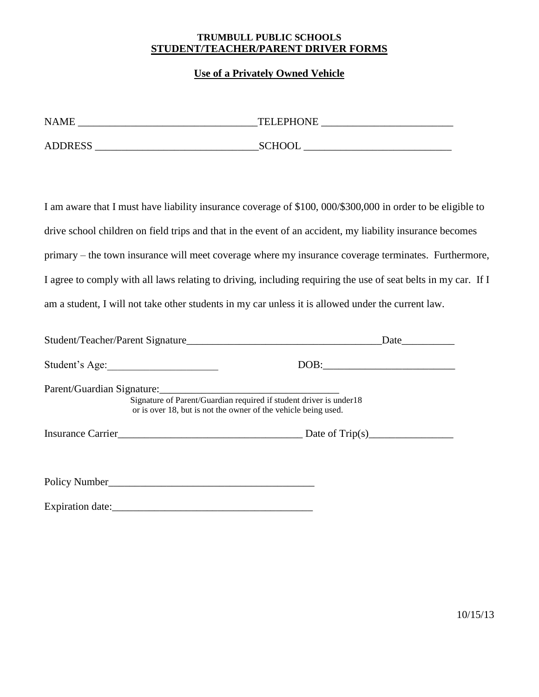### **TRUMBULL PUBLIC SCHOOLS STUDENT/TEACHER/PARENT DRIVER FORMS**

## **Use of a Privately Owned Vehicle**

| <b>NAME</b>    | <b>TELEPHONE</b> |  |
|----------------|------------------|--|
| <b>ADDRESS</b> | <b>SCHOOL</b>    |  |

I am aware that I must have liability insurance coverage of \$100, 000/\$300,000 in order to be eligible to drive school children on field trips and that in the event of an accident, my liability insurance becomes primary – the town insurance will meet coverage where my insurance coverage terminates. Furthermore, I agree to comply with all laws relating to driving, including requiring the use of seat belts in my car. If I am a student, I will not take other students in my car unless it is allowed under the current law.

| Student/Teacher/Parent Signature                                                                                                     | Date |  |
|--------------------------------------------------------------------------------------------------------------------------------------|------|--|
| Student's Age:                                                                                                                       | DOB: |  |
| Signature of Parent/Guardian required if student driver is under18<br>or is over 18, but is not the owner of the vehicle being used. |      |  |
| Insurance Carrier Date of Trip(s)                                                                                                    |      |  |

Policy Number\_\_\_\_\_\_\_\_\_\_\_\_\_\_\_\_\_\_\_\_\_\_\_\_\_\_\_\_\_\_\_\_\_\_\_\_\_\_\_

Expiration date:\_\_\_\_\_\_\_\_\_\_\_\_\_\_\_\_\_\_\_\_\_\_\_\_\_\_\_\_\_\_\_\_\_\_\_\_\_\_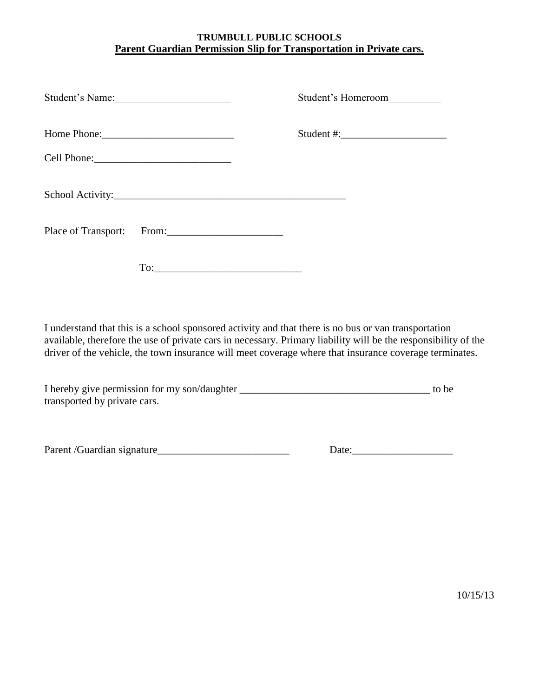# **TRUMBULL PUBLIC SCHOOLS Parent Guardian Permission Slip for Transportation in Private cars.**

| Student's Name:           |  | Student's Homeroom |  |
|---------------------------|--|--------------------|--|
|                           |  |                    |  |
| Cell Phone:               |  |                    |  |
|                           |  |                    |  |
| Place of Transport: From: |  |                    |  |
|                           |  |                    |  |

I understand that this is a school sponsored activity and that there is no bus or van transportation available, therefore the use of private cars in necessary. Primary liability will be the responsibility of the driver of the vehicle, the town insurance will meet coverage where that insurance coverage terminates.

| I hereby give permission for my son/daughter | to be |
|----------------------------------------------|-------|
| transported by private cars.                 |       |

Parent /Guardian signature\_\_\_\_\_\_\_\_\_\_\_\_\_\_\_\_\_\_\_\_\_\_\_\_\_ Date:\_\_\_\_\_\_\_\_\_\_\_\_\_\_\_\_\_\_\_

10/15/13